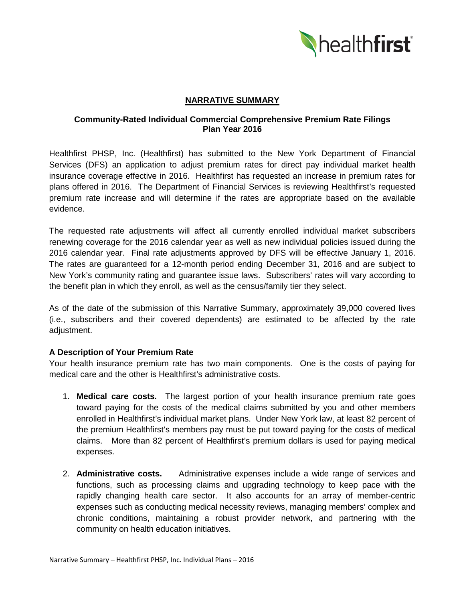

# **NARRATIVE SUMMARY**

# **Community-Rated Individual Commercial Comprehensive Premium Rate Filings Plan Year 2016**

Healthfirst PHSP, Inc. (Healthfirst) has submitted to the New York Department of Financial Services (DFS) an application to adjust premium rates for direct pay individual market health insurance coverage effective in 2016. Healthfirst has requested an increase in premium rates for plans offered in 2016. The Department of Financial Services is reviewing Healthfirst's requested premium rate increase and will determine if the rates are appropriate based on the available evidence.

The requested rate adjustments will affect all currently enrolled individual market subscribers renewing coverage for the 2016 calendar year as well as new individual policies issued during the 2016 calendar year. Final rate adjustments approved by DFS will be effective January 1, 2016. The rates are guaranteed for a 12-month period ending December 31, 2016 and are subject to New York's community rating and guarantee issue laws. Subscribers' rates will vary according to the benefit plan in which they enroll, as well as the census/family tier they select.

As of the date of the submission of this Narrative Summary, approximately 39,000 covered lives (i.e., subscribers and their covered dependents) are estimated to be affected by the rate adjustment.

# **A Description of Your Premium Rate**

Your health insurance premium rate has two main components. One is the costs of paying for medical care and the other is Healthfirst's administrative costs.

- 1. **Medical care costs.** The largest portion of your health insurance premium rate goes toward paying for the costs of the medical claims submitted by you and other members enrolled in Healthfirst's individual market plans. Under New York law, at least 82 percent of the premium Healthfirst's members pay must be put toward paying for the costs of medical claims. More than 82 percent of Healthfirst's premium dollars is used for paying medical expenses.
- 2. **Administrative costs.** Administrative expenses include a wide range of services and functions, such as processing claims and upgrading technology to keep pace with the rapidly changing health care sector. It also accounts for an array of member-centric expenses such as conducting medical necessity reviews, managing members' complex and chronic conditions, maintaining a robust provider network, and partnering with the community on health education initiatives.